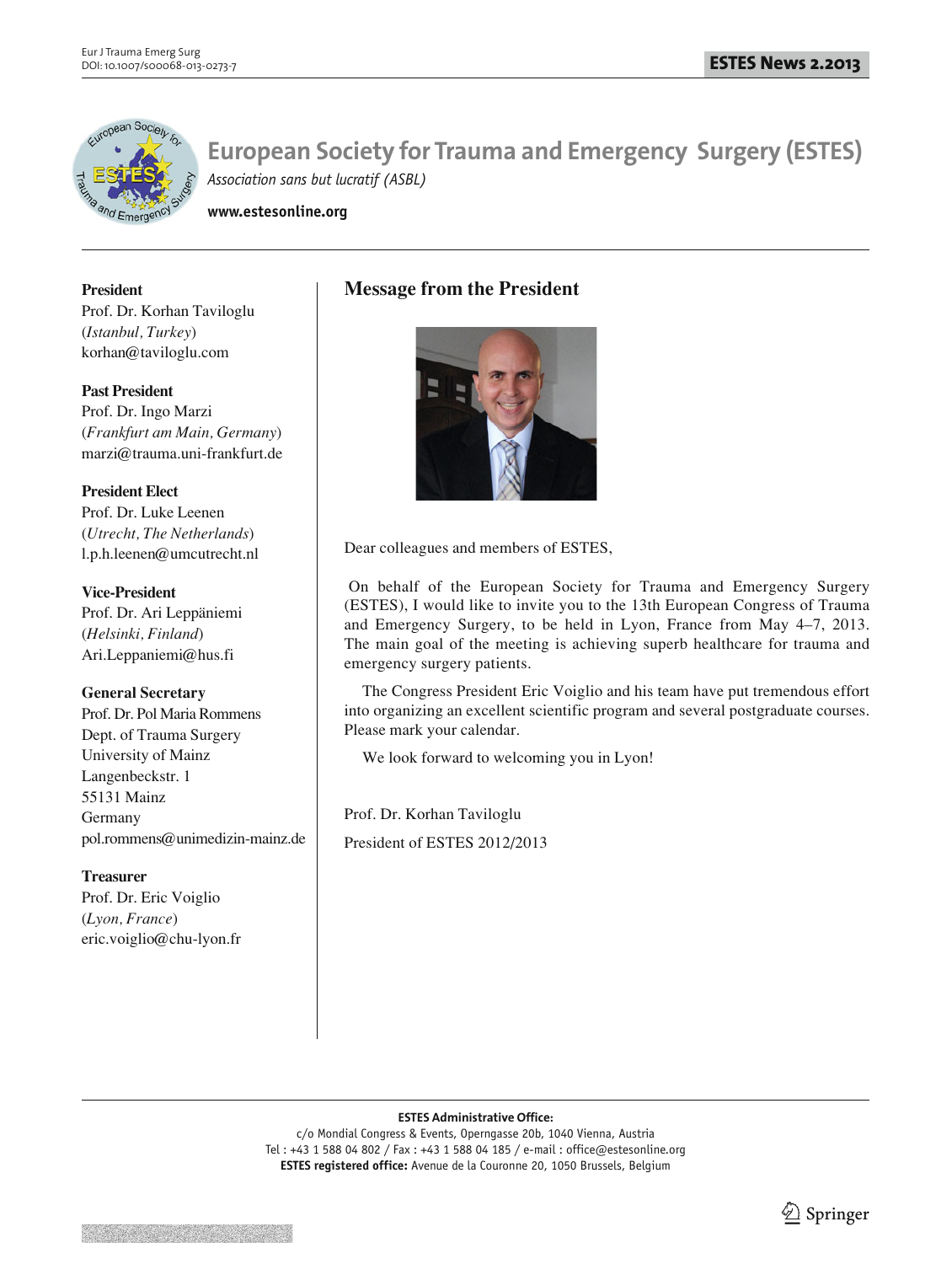

**www.estesonline.org**

**President**  Prof. Dr. Korhan Taviloglu (*Istanbul, Turkey*) korhan@taviloglu.com

**Past President** Prof. Dr. Ingo Marzi (*Frankfurt am Main, Germany*) marzi@trauma.uni-frankfurt.de

## **President Elect**

Prof. Dr. Luke Leenen (*Utrecht, The Netherlands*) l.p.h.leenen@umcutrecht.nl

**Vice-President** Prof. Dr. Ari Leppäniemi (*Helsinki, Finland*) Ari.Leppaniemi@hus.fi

## **General Secretary**

Prof. Dr. Pol Maria Rommens Dept. of Trauma Surgery University of Mainz Langenbeckstr. 1 55131 Mainz Germany pol.rommens@unimedizin-mainz.de

## **Treasurer**

Prof. Dr. Eric Voiglio (*Lyon, France*) eric.voiglio@chu-lyon.fr

## **Message from the President**



Dear colleagues and members of ESTES,

On behalf of the European Society for Trauma and Emergency Surgery (ESTES), I would like to invite you to the 13th European Congress of Trauma and Emergency Surgery, to be held in Lyon, France from May 4–7, 2013. The main goal of the meeting is achieving superb healthcare for trauma and emergency surgery patients.

The Congress President Eric Voiglio and his team have put tremendous effort into organizing an excellent scientific program and several postgraduate courses. Please mark your calendar.

We look forward to welcoming you in Lyon!

Prof. Dr. Korhan Taviloglu President of ESTES 2012/2013

#### **ESTES Administrative Office:**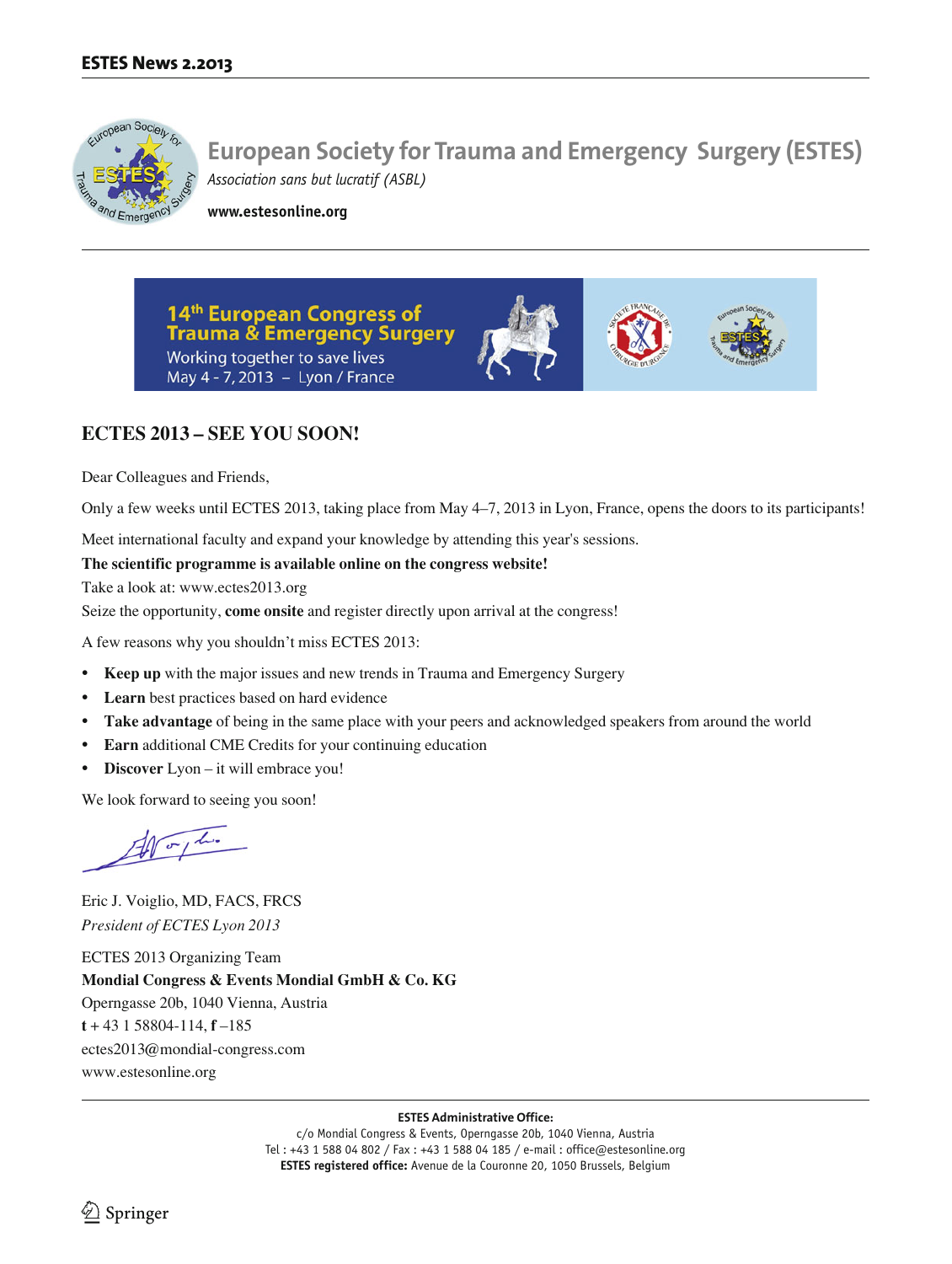

**www.estesonline.org**

14th European Congress of **Trauma & Emergency Surgery** Working together to save lives May 4 - 7, 2013 - Lyon / France





# **ECTES 2013 – SEE YOU SOON!**

Dear Colleagues and Friends,

Only a few weeks until ECTES 2013, taking place from May 4–7, 2013 in Lyon, France, opens the doors to its participants!

Meet international faculty and expand your knowledge by attending this year's sessions.

### **The scientific programme is available online on the congress website!**

Take a look at: www.ectes2013.org

Seize the opportunity, **come onsite** and register directly upon arrival at the congress!

A few reasons why you shouldn't miss ECTES 2013:

- **Keep up** with the major issues and new trends in Trauma and Emergency Surgery
- **Learn** best practices based on hard evidence
- **Take advantage** of being in the same place with your peers and acknowledged speakers from around the world
- **Earn** additional CME Credits for your continuing education
- **Discover** Lyon it will embrace you!

We look forward to seeing you soon!

 $40 - 14$ 

Eric J. Voiglio, MD, FACS, FRCS *President of ECTES Lyon 2013*

ECTES 2013 Organizing Team **Mondial Congress & Events Mondial GmbH & Co. KG** Operngasse 20b, 1040 Vienna, Austria **t** + 43 1 58804-114, **f** –185 ectes2013@mondial-congress.com www.estesonline.org

#### **ESTES Administrative Office:**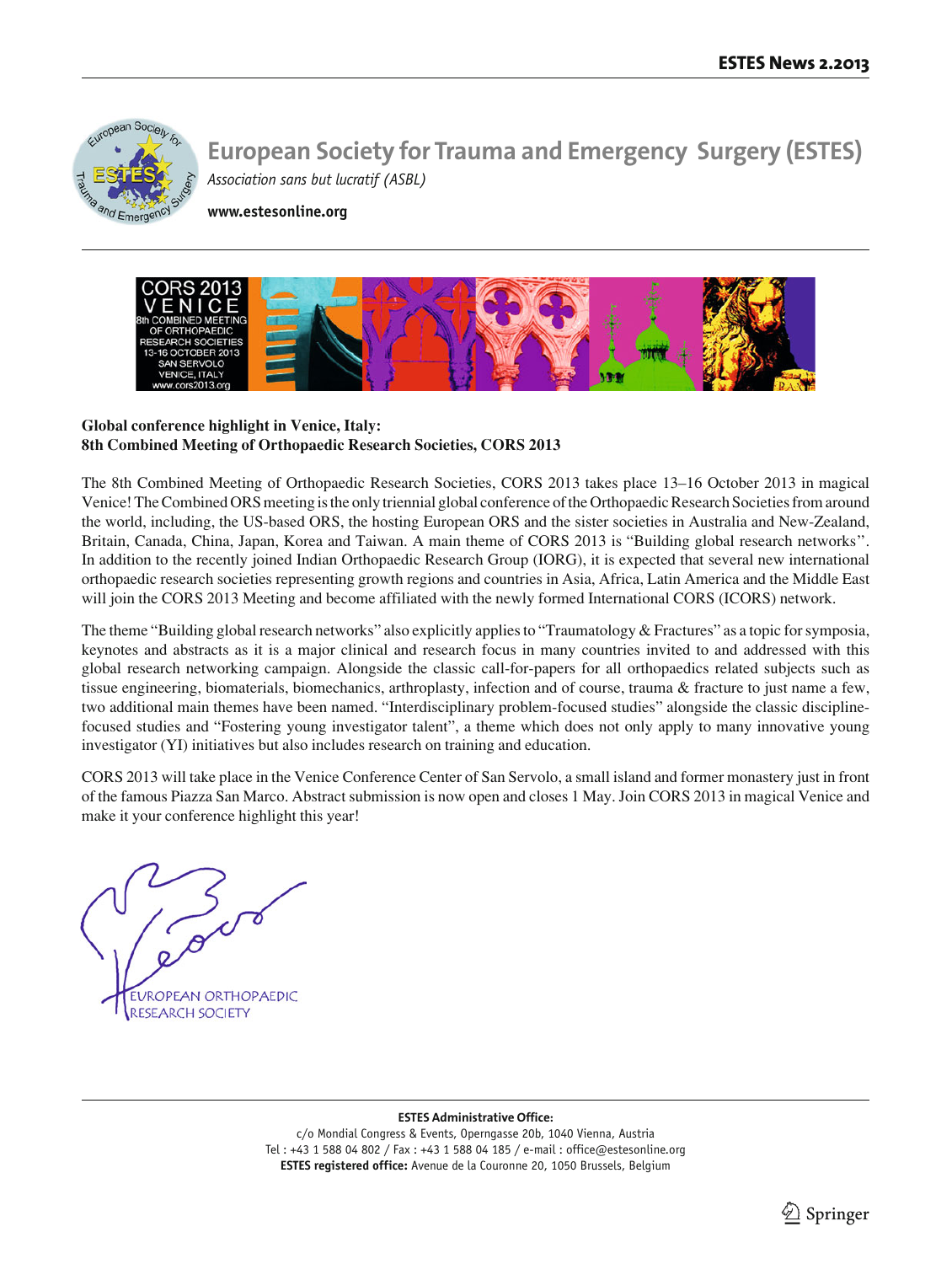

**www.estesonline.org**



## **Global conference highlight in Venice, Italy: 8th Combined Meeting of Orthopaedic Research Societies, CORS 2013**

The 8th Combined Meeting of Orthopaedic Research Societies, CORS 2013 takes place 13–16 October 2013 in magical Venice! The Combined ORS meeting is the only triennial global conference of the Orthopaedic Research Societies from around the world, including, the US-based ORS, the hosting European ORS and the sister societies in Australia and New-Zealand, Britain, Canada, China, Japan, Korea and Taiwan. A main theme of CORS 2013 is "Building global research networks''. In addition to the recently joined Indian Orthopaedic Research Group (IORG), it is expected that several new international orthopaedic research societies representing growth regions and countries in Asia, Africa, Latin America and the Middle East will join the CORS 2013 Meeting and become affiliated with the newly formed International CORS (ICORS) network.

The theme "Building global research networks" also explicitly applies to "Traumatology & Fractures" as a topic for symposia, keynotes and abstracts as it is a major clinical and research focus in many countries invited to and addressed with this global research networking campaign. Alongside the classic call-for-papers for all orthopaedics related subjects such as tissue engineering, biomaterials, biomechanics, arthroplasty, infection and of course, trauma & fracture to just name a few, two additional main themes have been named. "Interdisciplinary problem-focused studies" alongside the classic disciplinefocused studies and "Fostering young investigator talent", a theme which does not only apply to many innovative young investigator (YI) initiatives but also includes research on training and education.

CORS 2013 will take place in the Venice Conference Center of San Servolo, a small island and former monastery just in front of the famous Piazza San Marco. Abstract submission is now open and closes 1 May. Join CORS 2013 in magical Venice and make it your conference highlight this year!

**EUROPEAN ORTHOPAEDIC RESEARCH SOCIETY** 

#### **ESTES Administrative Office:**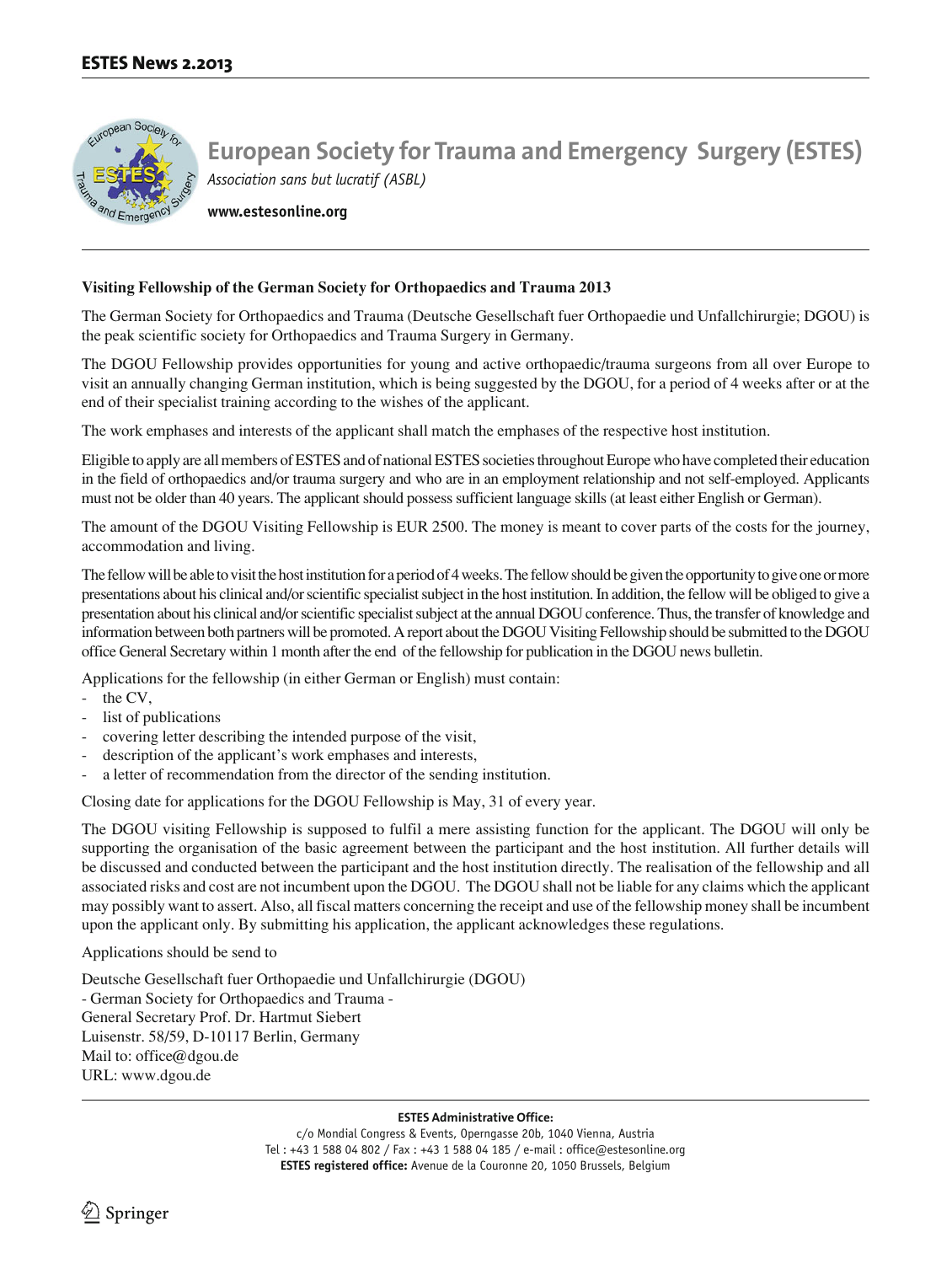

**www.estesonline.org**

#### **Visiting Fellowship of the German Society for Orthopaedics and Trauma 2013**

The German Society for Orthopaedics and Trauma (Deutsche Gesellschaft fuer Orthopaedie und Unfallchirurgie; DGOU) is the peak scientific society for Orthopaedics and Trauma Surgery in Germany.

The DGOU Fellowship provides opportunities for young and active orthopaedic/trauma surgeons from all over Europe to visit an annually changing German institution, which is being suggested by the DGOU, for a period of 4 weeks after or at the end of their specialist training according to the wishes of the applicant.

The work emphases and interests of the applicant shall match the emphases of the respective host institution.

Eligible to apply are all members of ESTES and of national ESTES societies throughout Europe who have completed their education in the field of orthopaedics and/or trauma surgery and who are in an employment relationship and not self-employed. Applicants must not be older than 40 years. The applicant should possess sufficient language skills (at least either English or German).

The amount of the DGOU Visiting Fellowship is EUR 2500. The money is meant to cover parts of the costs for the journey, accommodation and living.

The fellow will be able to visit the host institution for a period of 4 weeks. The fellow should be given the opportunity to give one or more presentations about his clinical and/or scientific specialist subject in the host institution. In addition, the fellow will be obliged to give a presentation about his clinical and/or scientific specialist subject at the annual DGOU conference. Thus, the transfer of knowledge and information between both partners will be promoted. A report about the DGOU Visiting Fellowship should be submitted to the DGOU office General Secretary within 1 month after the end of the fellowship for publication in the DGOU news bulletin.

Applications for the fellowship (in either German or English) must contain:

- the CV,
- list of publications
- covering letter describing the intended purpose of the visit,
- description of the applicant's work emphases and interests,
- a letter of recommendation from the director of the sending institution.

Closing date for applications for the DGOU Fellowship is May, 31 of every year.

The DGOU visiting Fellowship is supposed to fulfil a mere assisting function for the applicant. The DGOU will only be supporting the organisation of the basic agreement between the participant and the host institution. All further details will be discussed and conducted between the participant and the host institution directly. The realisation of the fellowship and all associated risks and cost are not incumbent upon the DGOU. The DGOU shall not be liable for any claims which the applicant may possibly want to assert. Also, all fiscal matters concerning the receipt and use of the fellowship money shall be incumbent upon the applicant only. By submitting his application, the applicant acknowledges these regulations.

Applications should be send to

Deutsche Gesellschaft fuer Orthopaedie und Unfallchirurgie (DGOU) - German Society for Orthopaedics and Trauma - General Secretary Prof. Dr. Hartmut Siebert Luisenstr. 58/59, D-10117 Berlin, Germany Mail to: office@dgou.de URL: www.dgou.de

#### **ESTES Administrative Office:**